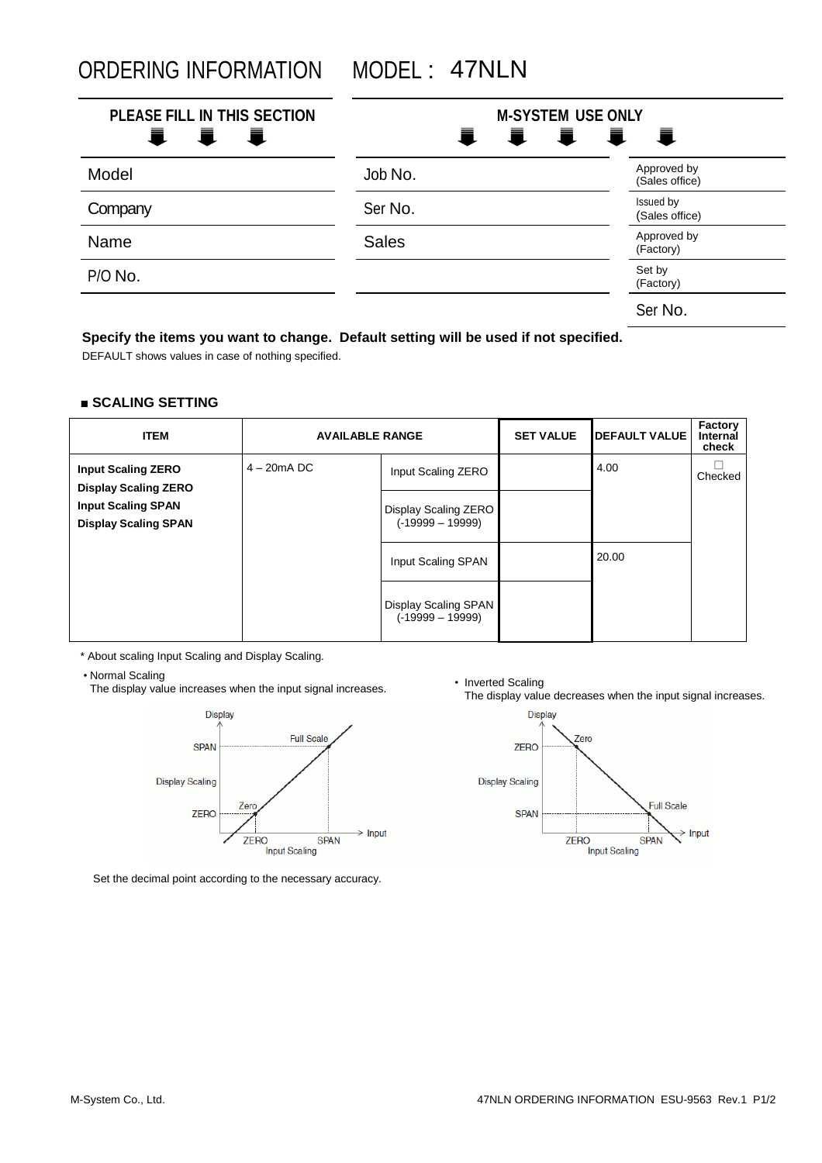ORDERING INFORMATION MODEL : 47NLN

| PLEASE FILL IN THIS SECTION<br>I I<br>Ē., | <b>M-SYSTEM USE ONLY</b><br>I I I<br>責<br>一章 |                               |  |
|-------------------------------------------|----------------------------------------------|-------------------------------|--|
| Model                                     | Job No.                                      | Approved by<br>(Sales office) |  |
| Company                                   | Ser No.                                      | Issued by<br>(Sales office)   |  |
| Name                                      | <b>Sales</b>                                 | Approved by<br>(Factory)      |  |
| P/O No.                                   |                                              | Set by<br>(Factory)           |  |
|                                           |                                              | Ser No.                       |  |

## **Specify the items you want to change. Default setting will be used if not specified.**

DEFAULT shows values in case of nothing specified.

## **■ SCALING SETTING**

| <b>ITEM</b>                                              | <b>AVAILABLE RANGE</b> |                                            | <b>SET VALUE</b> | <b>DEFAULT VALUE</b> | Factory<br>Internal<br>check |
|----------------------------------------------------------|------------------------|--------------------------------------------|------------------|----------------------|------------------------------|
| <b>Input Scaling ZERO</b><br><b>Display Scaling ZERO</b> | $4 - 20$ mA DC         | Input Scaling ZERO                         |                  | 4.00                 | Checked                      |
| <b>Input Scaling SPAN</b><br><b>Display Scaling SPAN</b> |                        | Display Scaling ZERO<br>$(-19999 - 19999)$ |                  |                      |                              |
|                                                          |                        | Input Scaling SPAN                         |                  | 20.00                |                              |
|                                                          |                        | Display Scaling SPAN<br>$(-19999 - 19999)$ |                  |                      |                              |

\* About scaling Input Scaling and Display Scaling.

• Normal Scaling

Normal Scaling<br>The display value increases when the input signal increases.<br>The display value



Set the decimal point according to the necessary accuracy.

The display value decreases when the input signal increases.